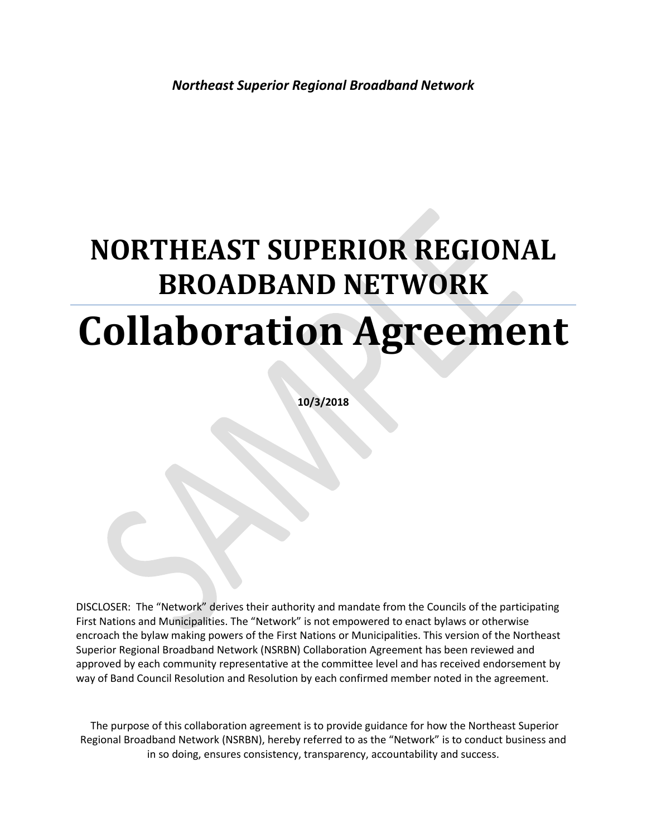# **NORTHEAST SUPERIOR REGIONAL BROADBAND NETWORK Collaboration Agreement**

**10/3/2018**

DISCLOSER: The "Network" derives their authority and mandate from the Councils of the participating First Nations and Municipalities. The "Network" is not empowered to enact bylaws or otherwise encroach the bylaw making powers of the First Nations or Municipalities. This version of the Northeast Superior Regional Broadband Network (NSRBN) Collaboration Agreement has been reviewed and approved by each community representative at the committee level and has received endorsement by way of Band Council Resolution and Resolution by each confirmed member noted in the agreement.

The purpose of this collaboration agreement is to provide guidance for how the Northeast Superior Regional Broadband Network (NSRBN), hereby referred to as the "Network" is to conduct business and in so doing, ensures consistency, transparency, accountability and success.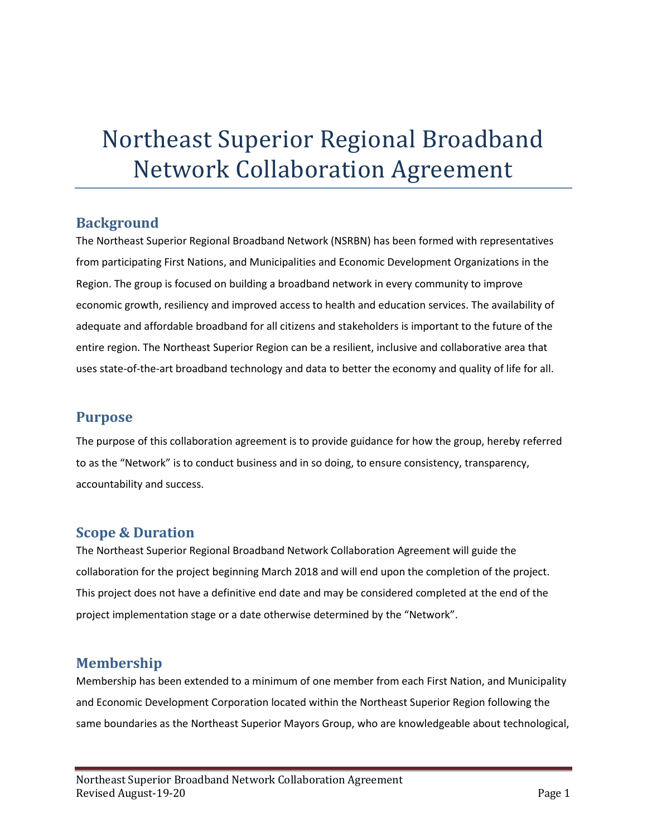## Northeast Superior Regional Broadband Network Collaboration Agreement

## **Background**

The Northeast Superior Regional Broadband Network (NSRBN) has been formed with representatives from participating First Nations, and Municipalities and Economic Development Organizations in the Region. The group is focused on building a broadband network in every community to improve economic growth, resiliency and improved access to health and education services. The availability of adequate and affordable broadband for all citizens and stakeholders is important to the future of the entire region. The Northeast Superior Region can be a resilient, inclusive and collaborative area that uses state-of-the-art broadband technology and data to better the economy and quality of life for all.

## **Purpose**

The purpose of this collaboration agreement is to provide guidance for how the group, hereby referred to as the "Network" is to conduct business and in so doing, to ensure consistency, transparency, accountability and success.

## **Scope & Duration**

The Northeast Superior Regional Broadband Network Collaboration Agreement will guide the collaboration for the project beginning March 2018 and will end upon the completion of the project. This project does not have a definitive end date and may be considered completed at the end of the project implementation stage or a date otherwise determined by the "Network".

## **Membership**

Membership has been extended to a minimum of one member from each First Nation, and Municipality and Economic Development Corporation located within the Northeast Superior Region following the same boundaries as the Northeast Superior Mayors Group, who are knowledgeable about technological,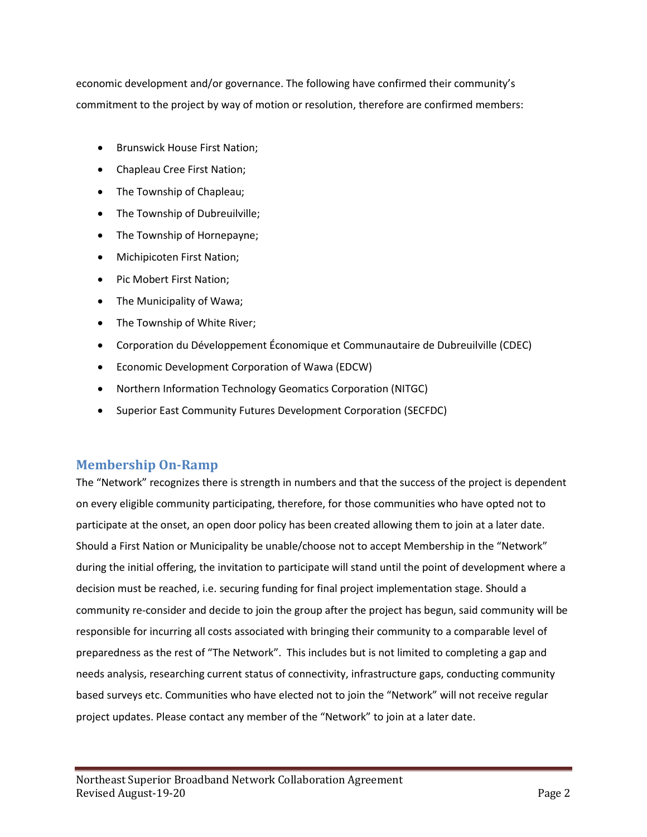economic development and/or governance. The following have confirmed their community's commitment to the project by way of motion or resolution, therefore are confirmed members:

- Brunswick House First Nation;
- Chapleau Cree First Nation;
- The Township of Chapleau;
- The Township of Dubreuilville;
- The Township of Hornepayne;
- Michipicoten First Nation;
- Pic Mobert First Nation;
- The Municipality of Wawa;
- The Township of White River;
- Corporation du Développement Économique et Communautaire de Dubreuilville (CDEC)
- Economic Development Corporation of Wawa (EDCW)
- Northern Information Technology Geomatics Corporation (NITGC)
- Superior East Community Futures Development Corporation (SECFDC)

### **Membership On-Ramp**

The "Network" recognizes there is strength in numbers and that the success of the project is dependent on every eligible community participating, therefore, for those communities who have opted not to participate at the onset, an open door policy has been created allowing them to join at a later date. Should a First Nation or Municipality be unable/choose not to accept Membership in the "Network" during the initial offering, the invitation to participate will stand until the point of development where a decision must be reached, i.e. securing funding for final project implementation stage. Should a community re-consider and decide to join the group after the project has begun, said community will be responsible for incurring all costs associated with bringing their community to a comparable level of preparedness as the rest of "The Network". This includes but is not limited to completing a gap and needs analysis, researching current status of connectivity, infrastructure gaps, conducting community based surveys etc. Communities who have elected not to join the "Network" will not receive regular project updates. Please contact any member of the "Network" to join at a later date.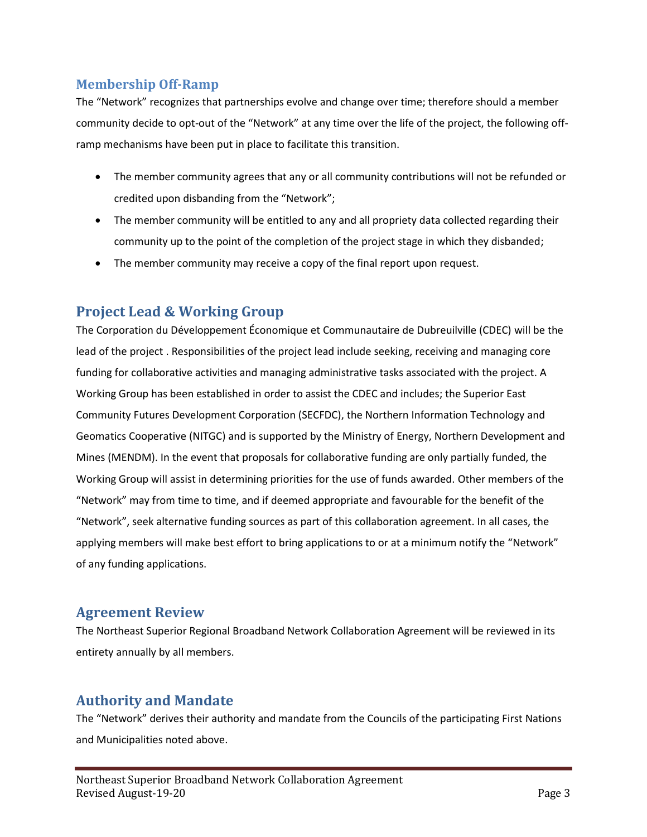## **Membership Off-Ramp**

The "Network" recognizes that partnerships evolve and change over time; therefore should a member community decide to opt-out of the "Network" at any time over the life of the project, the following offramp mechanisms have been put in place to facilitate this transition.

- The member community agrees that any or all community contributions will not be refunded or credited upon disbanding from the "Network";
- The member community will be entitled to any and all propriety data collected regarding their community up to the point of the completion of the project stage in which they disbanded;
- The member community may receive a copy of the final report upon request.

## **Project Lead & Working Group**

The Corporation du Développement Économique et Communautaire de Dubreuilville (CDEC) will be the lead of the project . Responsibilities of the project lead include seeking, receiving and managing core funding for collaborative activities and managing administrative tasks associated with the project. A Working Group has been established in order to assist the CDEC and includes; the Superior East Community Futures Development Corporation (SECFDC), the Northern Information Technology and Geomatics Cooperative (NITGC) and is supported by the Ministry of Energy, Northern Development and Mines (MENDM). In the event that proposals for collaborative funding are only partially funded, the Working Group will assist in determining priorities for the use of funds awarded. Other members of the "Network" may from time to time, and if deemed appropriate and favourable for the benefit of the "Network", seek alternative funding sources as part of this collaboration agreement. In all cases, the applying members will make best effort to bring applications to or at a minimum notify the "Network" of any funding applications.

## **Agreement Review**

The Northeast Superior Regional Broadband Network Collaboration Agreement will be reviewed in its entirety annually by all members.

## **Authority and Mandate**

The "Network" derives their authority and mandate from the Councils of the participating First Nations and Municipalities noted above.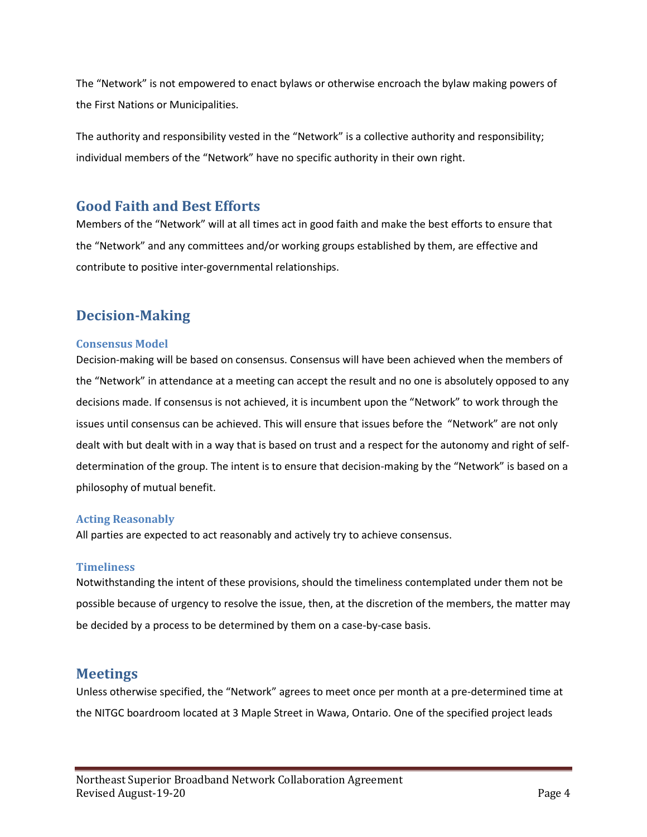The "Network" is not empowered to enact bylaws or otherwise encroach the bylaw making powers of the First Nations or Municipalities.

The authority and responsibility vested in the "Network" is a collective authority and responsibility; individual members of the "Network" have no specific authority in their own right.

## **Good Faith and Best Efforts**

Members of the "Network" will at all times act in good faith and make the best efforts to ensure that the "Network" and any committees and/or working groups established by them, are effective and contribute to positive inter-governmental relationships.

## **Decision-Making**

#### **Consensus Model**

Decision-making will be based on consensus. Consensus will have been achieved when the members of the "Network" in attendance at a meeting can accept the result and no one is absolutely opposed to any decisions made. If consensus is not achieved, it is incumbent upon the "Network" to work through the issues until consensus can be achieved. This will ensure that issues before the "Network" are not only dealt with but dealt with in a way that is based on trust and a respect for the autonomy and right of selfdetermination of the group. The intent is to ensure that decision-making by the "Network" is based on a philosophy of mutual benefit.

#### **Acting Reasonably**

All parties are expected to act reasonably and actively try to achieve consensus.

#### **Timeliness**

Notwithstanding the intent of these provisions, should the timeliness contemplated under them not be possible because of urgency to resolve the issue, then, at the discretion of the members, the matter may be decided by a process to be determined by them on a case-by-case basis.

## **Meetings**

Unless otherwise specified, the "Network" agrees to meet once per month at a pre-determined time at the NITGC boardroom located at 3 Maple Street in Wawa, Ontario. One of the specified project leads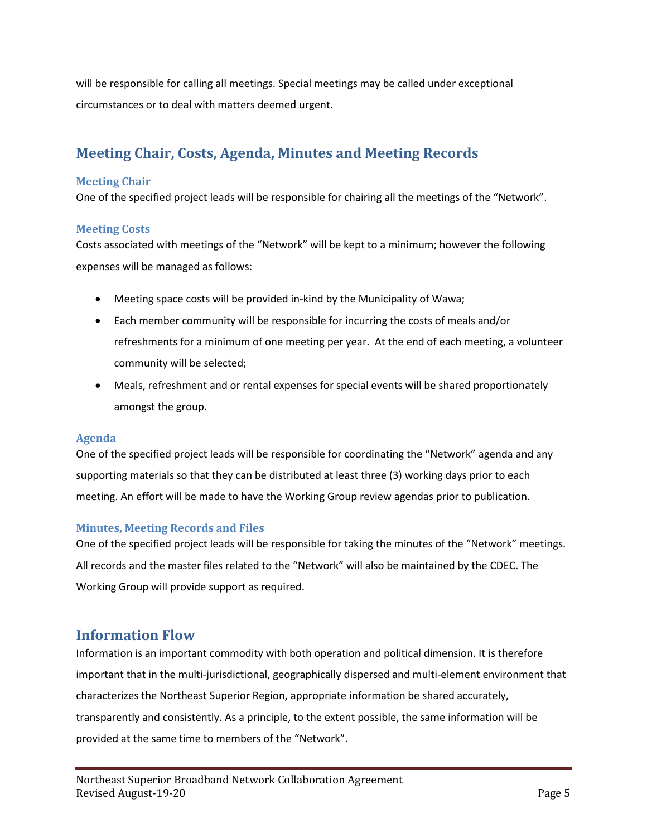will be responsible for calling all meetings. Special meetings may be called under exceptional circumstances or to deal with matters deemed urgent.

## **Meeting Chair, Costs, Agenda, Minutes and Meeting Records**

#### **Meeting Chair**

One of the specified project leads will be responsible for chairing all the meetings of the "Network".

#### **Meeting Costs**

Costs associated with meetings of the "Network" will be kept to a minimum; however the following expenses will be managed as follows:

- Meeting space costs will be provided in-kind by the Municipality of Wawa;
- Each member community will be responsible for incurring the costs of meals and/or refreshments for a minimum of one meeting per year. At the end of each meeting, a volunteer community will be selected;
- Meals, refreshment and or rental expenses for special events will be shared proportionately amongst the group.

#### **Agenda**

One of the specified project leads will be responsible for coordinating the "Network" agenda and any supporting materials so that they can be distributed at least three (3) working days prior to each meeting. An effort will be made to have the Working Group review agendas prior to publication.

#### **Minutes, Meeting Records and Files**

One of the specified project leads will be responsible for taking the minutes of the "Network" meetings. All records and the master files related to the "Network" will also be maintained by the CDEC. The Working Group will provide support as required.

## **Information Flow**

Information is an important commodity with both operation and political dimension. It is therefore important that in the multi-jurisdictional, geographically dispersed and multi-element environment that characterizes the Northeast Superior Region, appropriate information be shared accurately, transparently and consistently. As a principle, to the extent possible, the same information will be provided at the same time to members of the "Network".